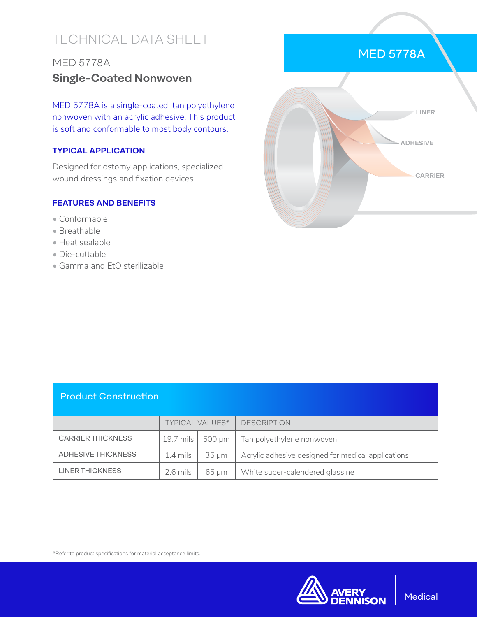# TECHNICAL DATA SHEET

# MED 5778A **Single-Coated Nonwoven**

MED 5778A is a single-coated, tan polyethylene nonwoven with an acrylic adhesive. This product is soft and conformable to most body contours.

#### **TYPICAL APPLICATION**

Designed for ostomy applications, specialized wound dressings and fixation devices.

#### **FEATURES AND BENEFITS**

- Conformable
- Breathable
- Heat sealable
- Die-cuttable
- Gamma and EtO sterilizable



#### Product Construction

|                          | <b>TYPICAL VALUES*</b> |       | <b>DESCRIPTION</b>                                         |
|--------------------------|------------------------|-------|------------------------------------------------------------|
| <b>CARRIER THICKNESS</b> |                        |       | 19.7 mils $\vert$ 500 µm $\vert$ Tan polyethylene nonwoven |
| ADHESIVE THICKNESS       | $1.4$ mils $\parallel$ | 35 µm | Acrylic adhesive designed for medical applications         |
| <b>LINER THICKNESS</b>   | $2.6$ mils             | 65 um | White super-calendered glassine                            |

\*Refer to product specifications for material acceptance limits.